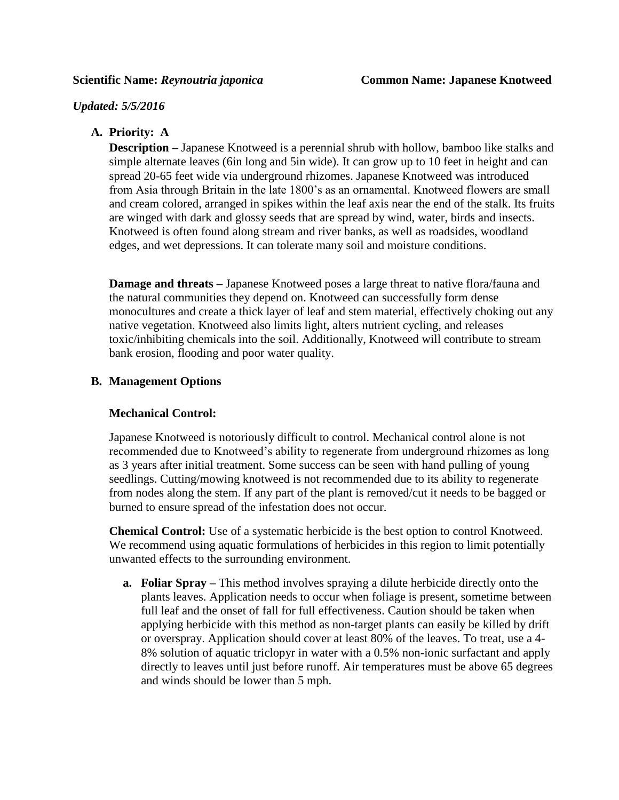### *Updated: 5/5/2016*

# **A. Priority: A**

**Description** – Japanese Knotweed is a perennial shrub with hollow, bamboo like stalks and simple alternate leaves (6in long and 5in wide). It can grow up to 10 feet in height and can spread 20-65 feet wide via underground rhizomes. Japanese Knotweed was introduced from Asia through Britain in the late 1800's as an ornamental. Knotweed flowers are small and cream colored, arranged in spikes within the leaf axis near the end of the stalk. Its fruits are winged with dark and glossy seeds that are spread by wind, water, birds and insects. Knotweed is often found along stream and river banks, as well as roadsides, woodland edges, and wet depressions. It can tolerate many soil and moisture conditions.

**Damage and threats** – Japanese Knotweed poses a large threat to native flora/fauna and the natural communities they depend on. Knotweed can successfully form dense monocultures and create a thick layer of leaf and stem material, effectively choking out any native vegetation. Knotweed also limits light, alters nutrient cycling, and releases toxic/inhibiting chemicals into the soil. Additionally, Knotweed will contribute to stream bank erosion, flooding and poor water quality.

# **B. Management Options**

# **Mechanical Control:**

Japanese Knotweed is notoriously difficult to control. Mechanical control alone is not recommended due to Knotweed's ability to regenerate from underground rhizomes as long as 3 years after initial treatment. Some success can be seen with hand pulling of young seedlings. Cutting/mowing knotweed is not recommended due to its ability to regenerate from nodes along the stem. If any part of the plant is removed/cut it needs to be bagged or burned to ensure spread of the infestation does not occur.

**Chemical Control:** Use of a systematic herbicide is the best option to control Knotweed. We recommend using aquatic formulations of herbicides in this region to limit potentially unwanted effects to the surrounding environment.

**a. Foliar Spray –** This method involves spraying a dilute herbicide directly onto the plants leaves. Application needs to occur when foliage is present, sometime between full leaf and the onset of fall for full effectiveness. Caution should be taken when applying herbicide with this method as non-target plants can easily be killed by drift or overspray. Application should cover at least 80% of the leaves. To treat, use a 4- 8% solution of aquatic triclopyr in water with a 0.5% non-ionic surfactant and apply directly to leaves until just before runoff. Air temperatures must be above 65 degrees and winds should be lower than 5 mph.